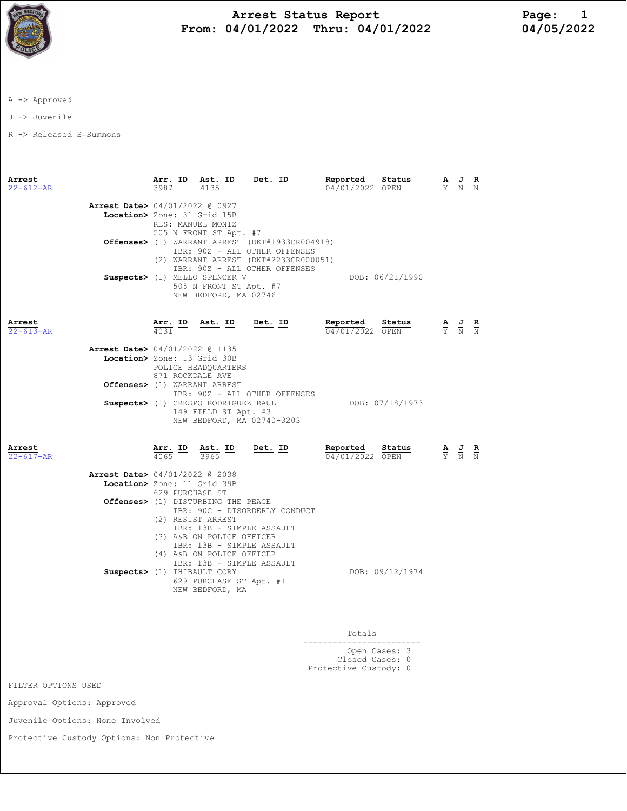

## Arrest Status Report<br>
14/01/2022 Thru: 04/01/2022 04/05/2022 From:  $04/01/2022$  Thru:  $04/01/2022$

A -> Approved

J -> Juvenile

R -> Released S=Summons

| Arrest                    |                                |                                                                                                                                           | Arr. ID Ast. ID                     | Det. ID                                         | Reported                    | Status          |  | $\frac{\mathbf{A}}{\mathbf{Y}}$ $\frac{\mathbf{J}}{\mathbf{N}}$                                 | $\frac{R}{N}$ |
|---------------------------|--------------------------------|-------------------------------------------------------------------------------------------------------------------------------------------|-------------------------------------|-------------------------------------------------|-----------------------------|-----------------|--|-------------------------------------------------------------------------------------------------|---------------|
| $22 - 612 - AR$           |                                | 3987                                                                                                                                      | 4135                                |                                                 | 04/01/2022 OPEN             |                 |  |                                                                                                 |               |
|                           | Arrest Date> 04/01/2022 @ 0927 |                                                                                                                                           |                                     |                                                 |                             |                 |  |                                                                                                 |               |
|                           | Location> Zone: 31 Grid 15B    |                                                                                                                                           |                                     |                                                 |                             |                 |  |                                                                                                 |               |
|                           |                                |                                                                                                                                           | RES: MANUEL MONIZ                   |                                                 |                             |                 |  |                                                                                                 |               |
|                           |                                |                                                                                                                                           | 505 N FRONT ST Apt. #7              |                                                 |                             |                 |  |                                                                                                 |               |
|                           |                                |                                                                                                                                           |                                     | Offenses> (1) WARRANT ARREST (DKT#1933CR004918) |                             |                 |  |                                                                                                 |               |
|                           |                                |                                                                                                                                           |                                     | IBR: 90Z - ALL OTHER OFFENSES                   |                             |                 |  |                                                                                                 |               |
|                           |                                |                                                                                                                                           |                                     | (2) WARRANT ARREST (DKT#2233CR000051)           |                             |                 |  |                                                                                                 |               |
|                           |                                |                                                                                                                                           |                                     | IBR: 90Z - ALL OTHER OFFENSES                   |                             |                 |  |                                                                                                 |               |
|                           |                                |                                                                                                                                           | Suspects> (1) MELLO SPENCER V       |                                                 |                             | DOB: 06/21/1990 |  |                                                                                                 |               |
|                           |                                |                                                                                                                                           | 505 N FRONT ST Apt. #7              |                                                 |                             |                 |  |                                                                                                 |               |
|                           |                                |                                                                                                                                           | NEW BEDFORD, MA 02746               |                                                 |                             |                 |  |                                                                                                 |               |
|                           |                                |                                                                                                                                           |                                     |                                                 |                             |                 |  |                                                                                                 |               |
| Arrest                    |                                | <u>Arr. ID</u>                                                                                                                            | <u>Ast. ID</u>                      | <u>Det. ID</u>                                  | Reported                    | Status          |  | $\frac{\mathbf{A}}{\mathbf{Y}}$ $\frac{\mathbf{J}}{\mathbf{N}}$ $\frac{\mathbf{R}}{\mathbf{N}}$ |               |
| $22 - 613 - AR$           |                                | 4031                                                                                                                                      |                                     |                                                 | 04/01/2022 OPEN             |                 |  |                                                                                                 |               |
|                           |                                |                                                                                                                                           |                                     |                                                 |                             |                 |  |                                                                                                 |               |
|                           | Arrest Date> 04/01/2022 @ 1135 |                                                                                                                                           |                                     |                                                 |                             |                 |  |                                                                                                 |               |
|                           | Location> Zone: 13 Grid 30B    |                                                                                                                                           |                                     |                                                 |                             |                 |  |                                                                                                 |               |
|                           |                                | 871 ROCKDALE AVE                                                                                                                          | POLICE HEADQUARTERS                 |                                                 |                             |                 |  |                                                                                                 |               |
|                           |                                |                                                                                                                                           | Offenses> (1) WARRANT ARREST        |                                                 |                             |                 |  |                                                                                                 |               |
|                           |                                |                                                                                                                                           |                                     | IBR: 90Z - ALL OTHER OFFENSES                   |                             |                 |  |                                                                                                 |               |
|                           |                                |                                                                                                                                           | Suspects> (1) CRESPO RODRIGUEZ RAUL |                                                 |                             | DOB: 07/18/1973 |  |                                                                                                 |               |
|                           |                                |                                                                                                                                           | 149 FIELD ST Apt. #3                |                                                 |                             |                 |  |                                                                                                 |               |
|                           |                                |                                                                                                                                           |                                     | NEW BEDFORD, MA 02740-3203                      |                             |                 |  |                                                                                                 |               |
|                           |                                |                                                                                                                                           |                                     |                                                 |                             |                 |  |                                                                                                 |               |
|                           |                                |                                                                                                                                           |                                     |                                                 |                             |                 |  |                                                                                                 |               |
| Arrest<br>$22 - 617 - AR$ |                                | $\frac{\text{Arr.}}{4065}$ ID                                                                                                             | Ast. ID<br>3965                     | Det. ID                                         | Reported<br>04/01/2022 OPEN | Status          |  | $\frac{\mathbf{A}}{\mathbf{Y}}$ $\frac{\mathbf{J}}{\mathbf{N}}$ $\frac{\mathbf{R}}{\mathbf{N}}$ |               |
|                           |                                |                                                                                                                                           |                                     |                                                 |                             |                 |  |                                                                                                 |               |
|                           |                                | <b>Arrest Date&gt;</b> 04/01/2022 @ 2038                                                                                                  |                                     |                                                 |                             |                 |  |                                                                                                 |               |
|                           |                                | Location> Zone: 11 Grid 39B<br>629 PURCHASE ST                                                                                            |                                     |                                                 |                             |                 |  |                                                                                                 |               |
|                           |                                |                                                                                                                                           |                                     |                                                 |                             |                 |  |                                                                                                 |               |
|                           |                                |                                                                                                                                           | Offenses> (1) DISTURBING THE PEACE  |                                                 |                             |                 |  |                                                                                                 |               |
|                           |                                | IBR: 90C - DISORDERLY CONDUCT<br>(2) RESIST ARREST<br>IBR: 13B - SIMPLE ASSAULT<br>(3) A&B ON POLICE OFFICER<br>IBR: 13B - SIMPLE ASSAULT |                                     |                                                 |                             |                 |  |                                                                                                 |               |
|                           |                                |                                                                                                                                           |                                     |                                                 |                             |                 |  |                                                                                                 |               |
|                           |                                |                                                                                                                                           |                                     |                                                 |                             |                 |  |                                                                                                 |               |
|                           |                                |                                                                                                                                           |                                     |                                                 |                             |                 |  |                                                                                                 |               |
|                           |                                |                                                                                                                                           | (4) A&B ON POLICE OFFICER           |                                                 |                             |                 |  |                                                                                                 |               |
|                           |                                |                                                                                                                                           |                                     |                                                 |                             |                 |  |                                                                                                 |               |
|                           |                                | IBR: 13B - SIMPLE ASSAULT<br>Suspects> (1) THIBAULT CORY                                                                                  |                                     |                                                 | DOB: 09/12/1974             |                 |  |                                                                                                 |               |
|                           |                                |                                                                                                                                           | 629 PURCHASE ST Apt. #1             |                                                 |                             |                 |  |                                                                                                 |               |
|                           |                                |                                                                                                                                           | NEW BEDFORD, MA                     |                                                 |                             |                 |  |                                                                                                 |               |
|                           |                                |                                                                                                                                           |                                     |                                                 |                             |                 |  |                                                                                                 |               |
|                           |                                |                                                                                                                                           |                                     |                                                 |                             |                 |  |                                                                                                 |               |

 Totals ------------------------ Open Cases: 3 Closed Cases: 0 Protective Custody: 0

FILTER OPTIONS USED

Approval Options: Approved

Juvenile Options: None Involved

Protective Custody Options: Non Protective